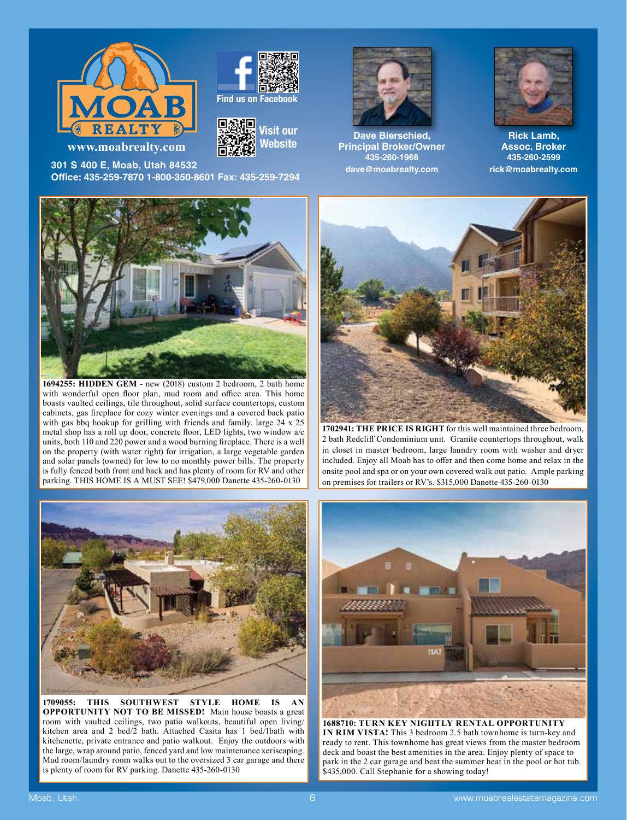







**301 S 400 E, Moab, Utah 84532 Offi ce: 435-259-7870 1-800-350-8601 Fax: 435-259-7294**



**Dave Bierschied, Principal Broker/Owner 435-260-1968 dave@moabrealty.com**



**Rick Lamb, Assoc. Broker 435-260-2599 rick@moabrealty.com**



**1694255: HIDDEN GEM** - new (2018) custom 2 bedroom, 2 bath home with wonderful open floor plan, mud room and office area. This home boasts vaulted ceilings, tile throughout, solid surface countertops, custom cabinets, gas fireplace for cozy winter evenings and a covered back patio with gas bbq hookup for grilling with friends and family. large 24 x 25 metal shop has a roll up door, concrete floor, LED lights, two window a/c units, both 110 and 220 power and a wood burning fireplace. There is a well on the property (with water right) for irrigation, a large vegetable garden and solar panels (owned) for low to no monthly power bills. The property is fully fenced both front and back and has plenty of room for RV and other parking. THIS HOME IS A MUST SEE! \$479,000 Danette 435-260-0130



**1709055: THIS SOUTHWEST STYLE HOME IS AN OPPORTUNITY NOT TO BE MISSED!** Main house boasts a great room with vaulted ceilings, two patio walkouts, beautiful open living/ kitchen area and 2 bed/2 bath. Attached Casita has 1 bed/1bath with kitchenette, private entrance and patio walkout. Enjoy the outdoors with the large, wrap around patio, fenced yard and low maintenance xeriscaping. Mud room/laundry room walks out to the oversized 3 car garage and there is plenty of room for RV parking. Danette 435-260-0130



**1702941: THE PRICE IS RIGHT** for this well maintained three bedroom, 2 bath Redcliff Condominium unit. Granite countertops throughout, walk in closet in master bedroom, large laundry room with washer and dryer included. Enjoy all Moab has to offer and then come home and relax in the onsite pool and spa or on your own covered walk out patio. Ample parking on premises for trailers or RV's. \$315,000 Danette 435-260-0130



**1688710: TURN KEY NIGHTLY RENTAL OPPORTUNITY IN RIM VISTA!** This 3 bedroom 2.5 bath townhome is turn-key and ready to rent. This townhome has great views from the master bedroom deck and boast the best amenities in the area. Enjoy plenty of space to park in the 2 car garage and beat the summer heat in the pool or hot tub. \$435,000. Call Stephanie for a showing today!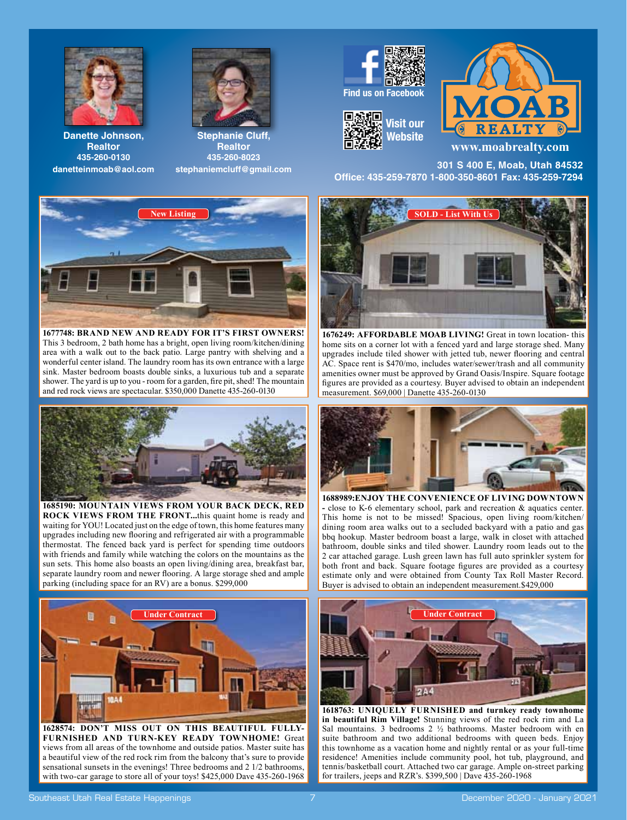



**Danette Johnson, Realtor 435-260-0130 danetteinmoab@aol.com**

**Stephanie Cluff, Realtor 435-260-8023 stephaniemcluff@gmail.com**



**1677748: BRAND NEW AND READY FOR IT'S FIRST OWNERS!** This 3 bedroom, 2 bath home has a bright, open living room/kitchen/dining area with a walk out to the back patio. Large pantry with shelving and a wonderful center island. The laundry room has its own entrance with a large sink. Master bedroom boasts double sinks, a luxurious tub and a separate shower. The yard is up to you - room for a garden, fire pit, shed! The mountain and red rock views are spectacular. \$350,000 Danette 435-260-0130



**1685190: MOUNTAIN VIEWS FROM YOUR BACK DECK, RED ROCK VIEWS FROM THE FRONT...**this quaint home is ready and waiting for YOU! Located just on the edge of town, this home features many upgrades including new flooring and refrigerated air with a programmable thermostat. The fenced back yard is perfect for spending time outdoors with friends and family while watching the colors on the mountains as the sun sets. This home also boasts an open living/dining area, breakfast bar, separate laundry room and newer flooring. A large storage shed and ample parking (including space for an RV) are a bonus. \$299,000



**1628574: DON'T MISS OUT ON THIS BEAUTIFUL FULLY-FURNISHED AND TURN-KEY READY TOWNHOME!** Great views from all areas of the townhome and outside patios. Master suite has a beautiful view of the red rock rim from the balcony that's sure to provide sensational sunsets in the evenings! Three bedrooms and 2 1/2 bathrooms, with two-car garage to store all of your toys! \$425,000 Dave 435-260-1968







**www.moabrealty.com**

**301 S 400 E, Moab, Utah 84532 Offi ce: 435-259-7870 1-800-350-8601 Fax: 435-259-7294**



**1676249: AFFORDABLE MOAB LIVING!** Great in town location- this home sits on a corner lot with a fenced yard and large storage shed. Many upgrades include tiled shower with jetted tub, newer flooring and central AC. Space rent is \$470/mo, includes water/sewer/trash and all community amenities owner must be approved by Grand Oasis/Inspire. Square footage figures are provided as a courtesy. Buyer advised to obtain an independent measurement. \$69,000 | Danette 435-260-0130



**1688989:ENJOY THE CONVENIENCE OF LIVING DOWNTOWN -** close to K-6 elementary school, park and recreation & aquatics center. This home is not to be missed! Spacious, open living room/kitchen/ dining room area walks out to a secluded backyard with a patio and gas bbq hookup. Master bedroom boast a large, walk in closet with attached bathroom, double sinks and tiled shower. Laundry room leads out to the 2 car attached garage. Lush green lawn has full auto sprinkler system for both front and back. Square footage figures are provided as a courtesy estimate only and were obtained from County Tax Roll Master Record. Buyer is advised to obtain an independent measurement.\$429,000



**1618763: UNIQUELY FURNISHED and turnkey ready townhome in beautiful Rim Village!** Stunning views of the red rock rim and La Sal mountains. 3 bedrooms 2 ½ bathrooms. Master bedroom with en suite bathroom and two additional bedrooms with queen beds. Enjoy this townhome as a vacation home and nightly rental or as your full-time residence! Amenities include community pool, hot tub, playground, and tennis/basketball court. Attached two car garage. Ample on-street parking for trailers, jeeps and RZR's. \$399,500 | Dave 435-260-1968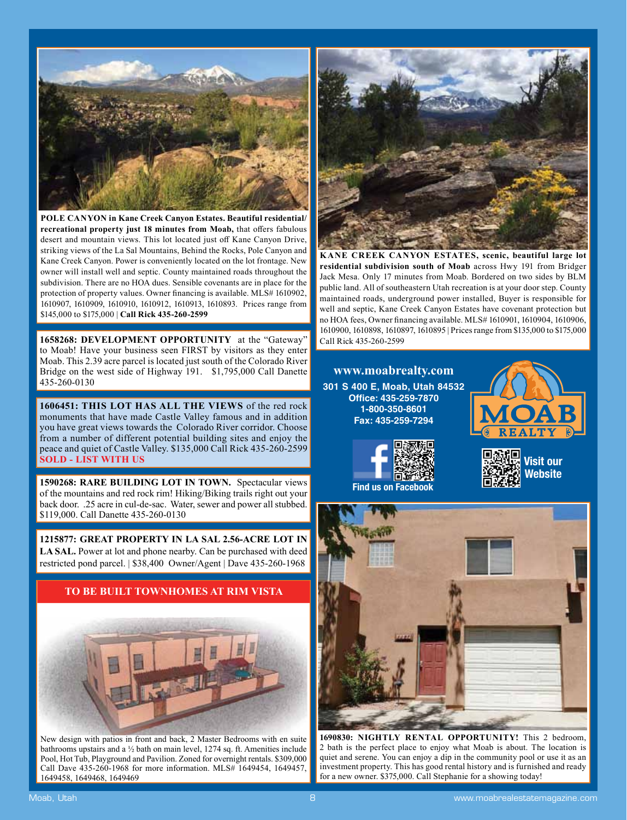

**POLE CANYON in Kane Creek Canyon Estates. Beautiful residential/** recreational property just 18 minutes from Moab, that offers fabulous desert and mountain views. This lot located just off Kane Canyon Drive, striking views of the La Sal Mountains, Behind the Rocks, Pole Canyon and Kane Creek Canyon. Power is conveniently located on the lot frontage. New owner will install well and septic. County maintained roads throughout the subdivision. There are no HOA dues. Sensible covenants are in place for the protection of property values. Owner financing is available. MLS# 1610902, 1610907, 1610909, 1610910, 1610912, 1610913, 1610893. Prices range from \$145,000 to \$175,000 | **Call Rick 435-260-2599**

**1658268: DEVELOPMENT OPPORTUNITY** at the "Gateway" to Moab! Have your business seen FIRST by visitors as they enter Moab. This 2.39 acre parcel is located just south of the Colorado River Bridge on the west side of Highway 191. \$1,795,000 Call Danette 435-260-0130

**1606451: THIS LOT HAS ALL THE VIEWS** of the red rock monuments that have made Castle Valley famous and in addition you have great views towards the Colorado River corridor. Choose from a number of different potential building sites and enjoy the peace and quiet of Castle Valley. \$135,000 Call Rick 435-260-2599 **SOLD - LIST WITH US**

**1590268: RARE BUILDING LOT IN TOWN.** Spectacular views of the mountains and red rock rim! Hiking/Biking trails right out your back door. .25 acre in cul-de-sac. Water, sewer and power all stubbed. \$119,000. Call Danette 435-260-0130

**1215877: GREAT PROPERTY IN LA SAL 2.56-ACRE LOT IN LA SAL.** Power at lot and phone nearby. Can be purchased with deed restricted pond parcel. | \$38,400 Owner/Agent | Dave 435-260-1968



New design with patios in front and back, 2 Master Bedrooms with en suite bathrooms upstairs and a ½ bath on main level, 1274 sq. ft. Amenities include Pool, Hot Tub, Playground and Pavilion. Zoned for overnight rentals. \$309,000 Call Dave 435-260-1968 for more information. MLS# 1649454, 1649457, 1649458, 1649468, 1649469



**KANE CREEK CANYON ESTATES, scenic, beautiful large lot residential subdivision south of Moab** across Hwy 191 from Bridger Jack Mesa. Only 17 minutes from Moab. Bordered on two sides by BLM public land. All of southeastern Utah recreation is at your door step. County maintained roads, underground power installed, Buyer is responsible for well and septic, Kane Creek Canyon Estates have covenant protection but no HOA fees, Owner financing available. MLS# 1610901, 1610904, 1610906, 1610900, 1610898, 1610897, 1610895 | Prices range from \$135,000 to \$175,000 Call Rick 435-260-2599

**www.moabrealty.com 301 S 400 E, Moab, Utah 84532 Offi ce: 435-259-7870 1-800-350-8601 Fax: 435-259-7294**









**1690830: NIGHTLY RENTAL OPPORTUNITY!** This 2 bedroom, 2 bath is the perfect place to enjoy what Moab is about. The location is quiet and serene. You can enjoy a dip in the community pool or use it as an investment property. This has good rental history and is furnished and ready for a new owner. \$375,000. Call Stephanie for a showing today!